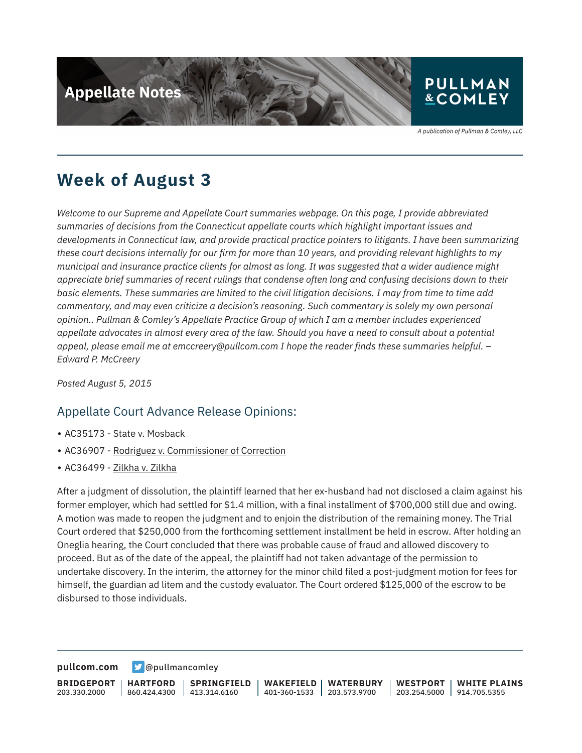

A publication of Pullman & Comley, LLC

## **Week of August 3**

*Welcome to our Supreme and Appellate Court summaries webpage. On this page, I provide abbreviated summaries of decisions from the Connecticut appellate courts which highlight important issues and developments in Connecticut law, and provide practical practice pointers to litigants. I have been summarizing these court decisions internally for our firm for more than 10 years, and providing relevant highlights to my municipal and insurance practice clients for almost as long. It was suggested that a wider audience might appreciate brief summaries of recent rulings that condense often long and confusing decisions down to their basic elements. These summaries are limited to the civil litigation decisions. I may from time to time add commentary, and may even criticize a decision's reasoning. Such commentary is solely my own personal opinion.. Pullman & Comley's Appellate Practice Group of which I am a member includes experienced appellate advocates in almost every area of the law. Should you have a need to consult about a potential appeal, please email me at emccreery@pullcom.com I hope the reader finds these summaries helpful. – Edward P. McCreery*

*Posted August 5, 2015*

### Appellate Court Advance Release Opinions:

- AC35173 State v. Mosback
- AC36907 Rodriguez v. Commissioner of Correction
- AC36499 Zilkha v. Zilkha

After a judgment of dissolution, the plaintiff learned that her ex-husband had not disclosed a claim against his former employer, which had settled for \$1.4 million, with a final installment of \$700,000 still due and owing. A motion was made to reopen the judgment and to enjoin the distribution of the remaining money. The Trial Court ordered that \$250,000 from the forthcoming settlement installment be held in escrow. After holding an Oneglia hearing, the Court concluded that there was probable cause of fraud and allowed discovery to proceed. But as of the date of the appeal, the plaintiff had not taken advantage of the permission to undertake discovery. In the interim, the attorney for the minor child filed a post-judgment motion for fees for himself, the guardian ad litem and the custody evaluator. The Court ordered \$125,000 of the escrow to be disbursed to those individuals.

**[pullcom.com](https://www.pullcom.com) g** [@pullmancomley](https://twitter.com/PullmanComley)

**BRIDGEPORT** 203.330.2000 **HARTFORD** 860.424.4300 413.314.6160 **SPRINGFIELD WAKEFIELD** 401-360-1533 203.573.9700 **WATERBURY WESTPORT** 203.254.5000 914.705.5355 **WHITE PLAINS**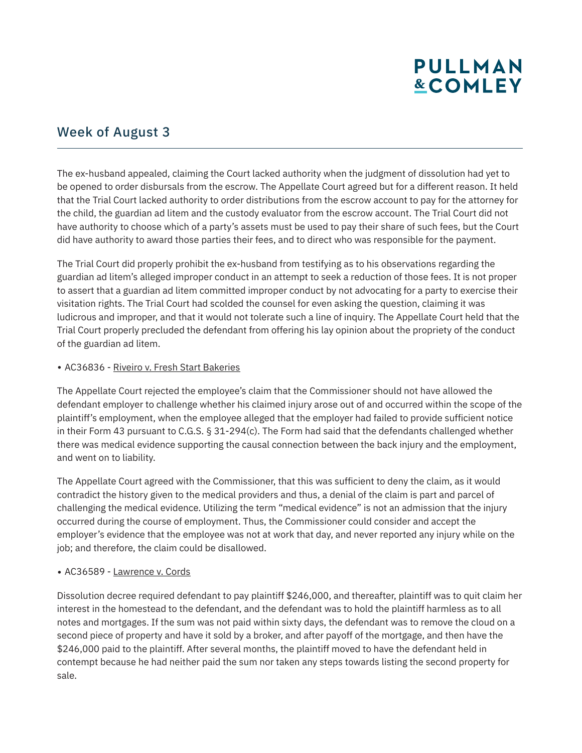# **PULLMAN &COMLEY**

## Week of August 3

The ex-husband appealed, claiming the Court lacked authority when the judgment of dissolution had yet to be opened to order disbursals from the escrow. The Appellate Court agreed but for a different reason. It held that the Trial Court lacked authority to order distributions from the escrow account to pay for the attorney for the child, the guardian ad litem and the custody evaluator from the escrow account. The Trial Court did not have authority to choose which of a party's assets must be used to pay their share of such fees, but the Court did have authority to award those parties their fees, and to direct who was responsible for the payment.

The Trial Court did properly prohibit the ex-husband from testifying as to his observations regarding the guardian ad litem's alleged improper conduct in an attempt to seek a reduction of those fees. It is not proper to assert that a guardian ad litem committed improper conduct by not advocating for a party to exercise their visitation rights. The Trial Court had scolded the counsel for even asking the question, claiming it was ludicrous and improper, and that it would not tolerate such a line of inquiry. The Appellate Court held that the Trial Court properly precluded the defendant from offering his lay opinion about the propriety of the conduct of the guardian ad litem.

#### • AC36836 - Riveiro v. Fresh Start Bakeries

The Appellate Court rejected the employee's claim that the Commissioner should not have allowed the defendant employer to challenge whether his claimed injury arose out of and occurred within the scope of the plaintiff's employment, when the employee alleged that the employer had failed to provide sufficient notice in their Form 43 pursuant to C.G.S. § 31-294(c). The Form had said that the defendants challenged whether there was medical evidence supporting the causal connection between the back injury and the employment, and went on to liability.

The Appellate Court agreed with the Commissioner, that this was sufficient to deny the claim, as it would contradict the history given to the medical providers and thus, a denial of the claim is part and parcel of challenging the medical evidence. Utilizing the term "medical evidence" is not an admission that the injury occurred during the course of employment. Thus, the Commissioner could consider and accept the employer's evidence that the employee was not at work that day, and never reported any injury while on the job; and therefore, the claim could be disallowed.

### • AC36589 - Lawrence v. Cords

Dissolution decree required defendant to pay plaintiff \$246,000, and thereafter, plaintiff was to quit claim her interest in the homestead to the defendant, and the defendant was to hold the plaintiff harmless as to all notes and mortgages. If the sum was not paid within sixty days, the defendant was to remove the cloud on a second piece of property and have it sold by a broker, and after payoff of the mortgage, and then have the \$246,000 paid to the plaintiff. After several months, the plaintiff moved to have the defendant held in contempt because he had neither paid the sum nor taken any steps towards listing the second property for sale.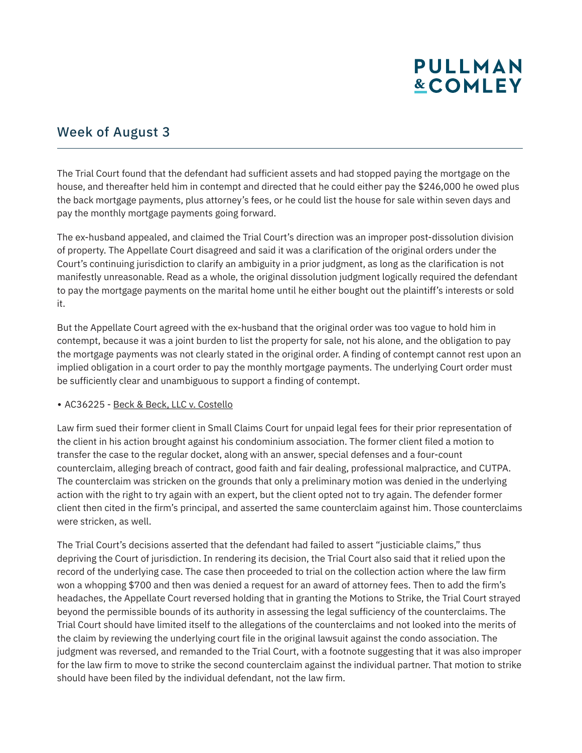# **PULLMAN &COMLEY**

## Week of August 3

The Trial Court found that the defendant had sufficient assets and had stopped paying the mortgage on the house, and thereafter held him in contempt and directed that he could either pay the \$246,000 he owed plus the back mortgage payments, plus attorney's fees, or he could list the house for sale within seven days and pay the monthly mortgage payments going forward.

The ex-husband appealed, and claimed the Trial Court's direction was an improper post-dissolution division of property. The Appellate Court disagreed and said it was a clarification of the original orders under the Court's continuing jurisdiction to clarify an ambiguity in a prior judgment, as long as the clarification is not manifestly unreasonable. Read as a whole, the original dissolution judgment logically required the defendant to pay the mortgage payments on the marital home until he either bought out the plaintiff's interests or sold it.

But the Appellate Court agreed with the ex-husband that the original order was too vague to hold him in contempt, because it was a joint burden to list the property for sale, not his alone, and the obligation to pay the mortgage payments was not clearly stated in the original order. A finding of contempt cannot rest upon an implied obligation in a court order to pay the monthly mortgage payments. The underlying Court order must be sufficiently clear and unambiguous to support a finding of contempt.

#### • AC36225 - Beck & Beck, LLC v. Costello

Law firm sued their former client in Small Claims Court for unpaid legal fees for their prior representation of the client in his action brought against his condominium association. The former client filed a motion to transfer the case to the regular docket, along with an answer, special defenses and a four-count counterclaim, alleging breach of contract, good faith and fair dealing, professional malpractice, and CUTPA. The counterclaim was stricken on the grounds that only a preliminary motion was denied in the underlying action with the right to try again with an expert, but the client opted not to try again. The defender former client then cited in the firm's principal, and asserted the same counterclaim against him. Those counterclaims were stricken, as well.

The Trial Court's decisions asserted that the defendant had failed to assert "justiciable claims," thus depriving the Court of jurisdiction. In rendering its decision, the Trial Court also said that it relied upon the record of the underlying case. The case then proceeded to trial on the collection action where the law firm won a whopping \$700 and then was denied a request for an award of attorney fees. Then to add the firm's headaches, the Appellate Court reversed holding that in granting the Motions to Strike, the Trial Court strayed beyond the permissible bounds of its authority in assessing the legal sufficiency of the counterclaims. The Trial Court should have limited itself to the allegations of the counterclaims and not looked into the merits of the claim by reviewing the underlying court file in the original lawsuit against the condo association. The judgment was reversed, and remanded to the Trial Court, with a footnote suggesting that it was also improper for the law firm to move to strike the second counterclaim against the individual partner. That motion to strike should have been filed by the individual defendant, not the law firm.